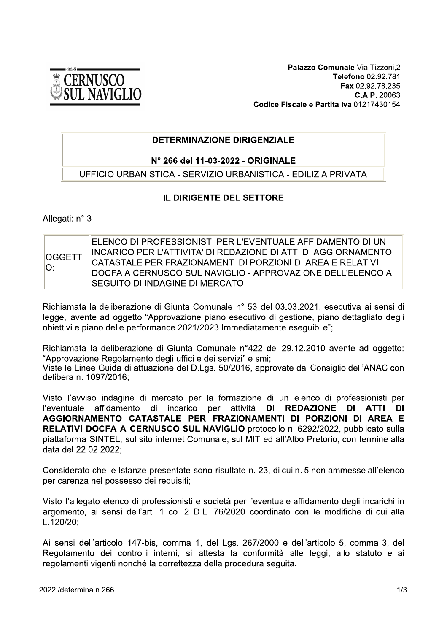

Palazzo Comunale Via Tizzoni,2 Telefono 02.92.781 Fax 02.92.78.235 C.A.P. 20063 Codice Fiscale e Partita Iva 01217430154

# **DETERMINAZIONE DIRIGENZIALE**

## N° 266 del 11-03-2022 - ORIGINALE

UFFICIO URBANISTICA - SERVIZIO URBANISTICA - EDILIZIA PRIVATA

## IL DIRIGENTE DEL SETTORE

### Allegati: n° 3

| <b>OGGETT</b><br>IO: | IFI ENCO DI PROFESSIONISTI PER L'EVENTUAI E AFFIDAMENTO DI UN<br>INCARICO PER L'ATTIVITA' DI REDAZIONE DI ATTI DI AGGIORNAMENTO<br>CATASTALE PER FRAZIONAMENTI DI PORZIONI DI AREA E RELATIVI |
|----------------------|-----------------------------------------------------------------------------------------------------------------------------------------------------------------------------------------------|
|                      | IDOCFA A CERNUSCO SUL NAVIGLIO - APPROVAZIONE DELL'ELENCO A                                                                                                                                   |
|                      | ∥SEGUITO DI INDAGINE DI MERCATO                                                                                                                                                               |

Richiamata la deliberazione di Giunta Comunale n° 53 del 03.03.2021, esecutiva ai sensi di legge, avente ad oggetto "Approvazione piano esecutivo di gestione, piano dettagliato degli obiettivi e piano delle performance 2021/2023 Immediatamente esequibile":

Richiamata la deliberazione di Giunta Comunale n°422 del 29.12.2010 avente ad oggetto: "Approvazione Regolamento degli uffici e dei servizi" e smi:

Viste le Linee Guida di attuazione del D.Lgs. 50/2016, approvate dal Consiglio dell'ANAC con delibera n. 1097/2016;

Visto l'avviso indagine di mercato per la formazione di un elenco di professionisti per per l'eventuale affidamento di incarico attività **DI** REDAZIONE DI ATTI **DI** AGGIORNAMENTO CATASTALE PER FRAZIONAMENTI DI PORZIONI DI AREA E RELATIVI DOCFA A CERNUSCO SUL NAVIGLIO protocollo n. 6292/2022, pubblicato sulla piattaforma SINTEL, sul sito internet Comunale, sul MIT ed all'Albo Pretorio, con termine alla data del 22.02.2022:

Considerato che le Istanze presentate sono risultate n. 23, di cui n. 5 non ammesse all'elenco per carenza nel possesso dei requisiti;

Visto l'allegato elenco di professionisti e società per l'eventuale affidamento degli incarichi in argomento, ai sensi dell'art. 1 co. 2 D.L. 76/2020 coordinato con le modifiche di cui alla L.120/20;

Ai sensi dell'articolo 147-bis, comma 1, del Lgs. 267/2000 e dell'articolo 5, comma 3, del Regolamento dei controlli interni, si attesta la conformità alle leggi, allo statuto e ai regolamenti vigenti nonché la correttezza della procedura seguita.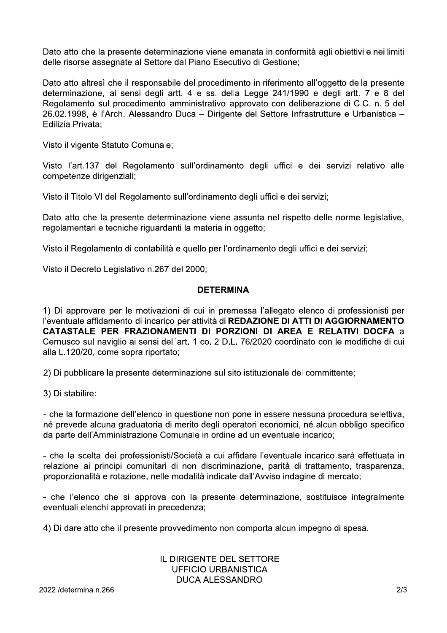Dato atto che la presente determinazione viene emanata in conformità agli obiettivi e nei limiti delle risorse assegnate al Settore dal Piano Esecutivo di Gestione:

Dato atto altresì che il responsabile del procedimento in riferimento all'oggetto della presente determinazione, ai sensi degli artt. 4 e ss. della Legge 241/1990 e degli artt. 7 e 8 del Regolamento sul procedimento amministrativo approvato con deliberazione di C.C. n. 5 del 26.02.1998, è l'Arch. Alessandro Duca – Dirigente del Settore Infrastrutture e Urbanistica – Edilizia Privata:

Visto il vigente Statuto Comunale;

Visto l'art.137 del Regolamento sull'ordinamento degli uffici e dei servizi relativo alle competenze dirigenziali;

Visto il Titolo VI del Regolamento sull'ordinamento degli uffici e dei servizi:

Dato atto che la presente determinazione viene assunta nel rispetto delle norme legislative, regolamentari e tecniche riguardanti la materia in oggetto:

Visto il Regolamento di contabilità e quello per l'ordinamento degli uffici e dei servizi;

Visto il Decreto Legislativo n.267 del 2000;

## **DETERMINA**

1) Di approvare per le motivazioni di cui in premessa l'allegato elenco di professionisti per l'eventuale affidamento di incarico per attività di REDAZIONE DI ATTI DI AGGIORNAMENTO CATASTALE PER FRAZIONAMENTI DI PORZIONI DI AREA E RELATIVI DOCFA a Cernusco sul naviglio ai sensi dell'art. 1 co. 2 D.L. 76/2020 coordinato con le modifiche di cui alla L.120/20, come sopra riportato;

2) Di pubblicare la presente determinazione sul sito istituzionale del committente;

3) Di stabilire:

- che la formazione dell'elenco in questione non pone in essere nessuna procedura selettiva, né prevede alcuna graduatoria di merito degli operatori economici, né alcun obbligo specifico da parte dell'Amministrazione Comunale in ordine ad un eventuale incarico;

- che la scelta dei professionisti/Società a cui affidare l'eventuale incarico sarà effettuata in relazione ai principi comunitari di non discriminazione, parità di trattamento, trasparenza, proporzionalità e rotazione, nelle modalità indicate dall'Avviso indagine di mercato;

- che l'elenco che si approva con la presente determinazione, sostituisce integralmente eventuali elenchi approvati in precedenza:

4) Di dare atto che il presente provvedimento non comporta alcun impegno di spesa.

## IL DIRIGENTE DEL SETTORE **UFFICIO URBANISTICA DUCA ALESSANDRO**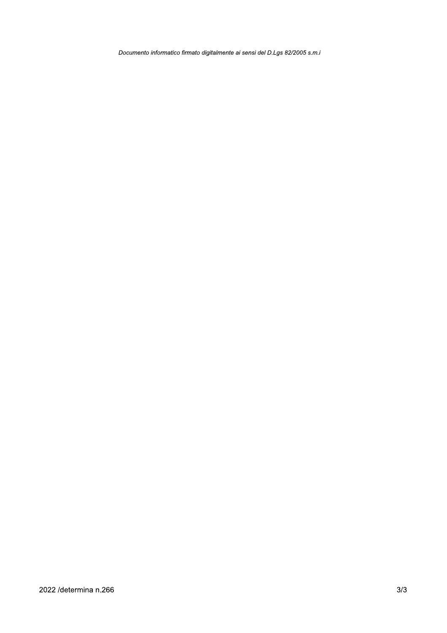Documento informatico firmato digitalmente ai sensi del D.Lgs 82/2005 s.m.i